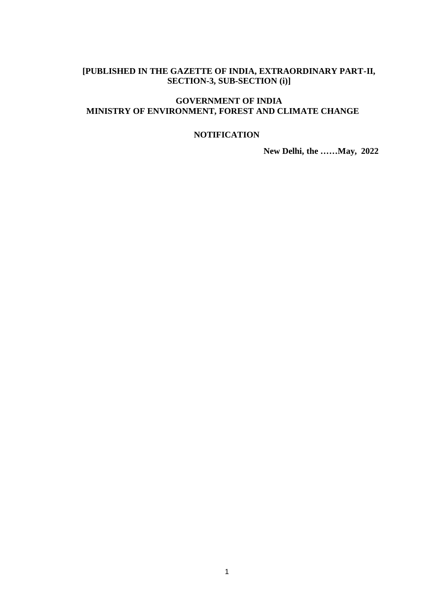# **[PUBLISHED IN THE GAZETTE OF INDIA, EXTRAORDINARY PART-II, SECTION-3, SUB-SECTION (i)]**

## **GOVERNMENT OF INDIA MINISTRY OF ENVIRONMENT, FOREST AND CLIMATE CHANGE**

### **NOTIFICATION**

**New Delhi, the ……May, 2022**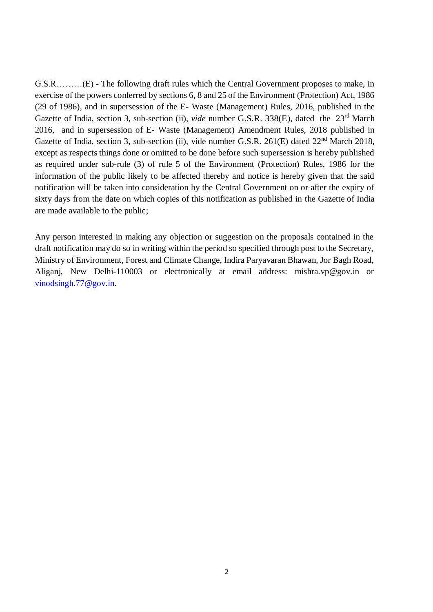G.S.R………(E) - The following draft rules which the Central Government proposes to make, in exercise of the powers conferred by sections 6, 8 and 25 of the Environment (Protection) Act, 1986 (29 of 1986), and in supersession of the E- Waste (Management) Rules, 2016, published in the Gazette of India, section 3, sub-section (ii), *vide* number G.S.R. 338(E), dated the 23<sup>rd</sup> March 2016, and in supersession of E- Waste (Management) Amendment Rules, 2018 published in Gazette of India, section 3, sub-section (ii), vide number G.S.R. 261(E) dated 22<sup>nd</sup> March 2018, except as respects things done or omitted to be done before such supersession is hereby published as required under sub-rule (3) of rule 5 of the Environment (Protection) Rules, 1986 for the information of the public likely to be affected thereby and notice is hereby given that the said notification will be taken into consideration by the Central Government on or after the expiry of sixty days from the date on which copies of this notification as published in the Gazette of India are made available to the public;

Any person interested in making any objection or suggestion on the proposals contained in the draft notification may do so in writing within the period so specified through post to the Secretary, Ministry of Environment, Forest and Climate Change, Indira Paryavaran Bhawan, Jor Bagh Road, Aliganj, New Delhi-110003 or electronically at email address: mishra.vp@gov.in or [vinodsingh.77@gov.in.](mailto:vinodsingh.77@gov.in)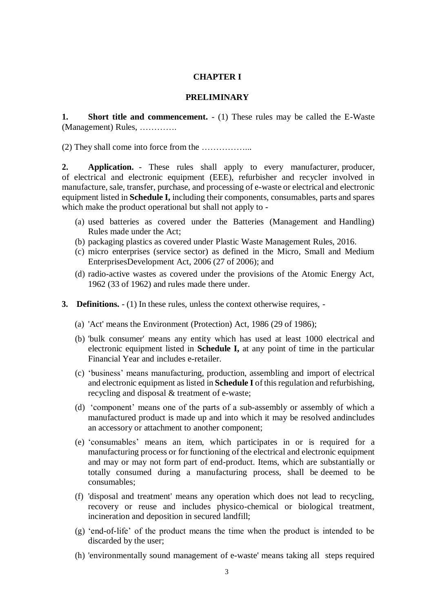#### **CHAPTER I**

#### **PRELIMINARY**

**1. Short title and commencement.** - (1) These rules may be called the E-Waste (Management) Rules, ………….

(2) They shall come into force from the ……………...

**2. Application.** - These rules shall apply to every manufacturer, producer, of electrical and electronic equipment (EEE), refurbisher and recycler involved in manufacture, sale, transfer, purchase, and processing of e-waste or electrical and electronic equipment listed in **Schedule I,** including their components, consumables, parts and spares which make the product operational but shall not apply to -

- (a) used batteries as covered under the Batteries (Management and Handling) Rules made under the Act;
- (b) packaging plastics as covered under Plastic Waste Management Rules, 2016.
- (c) micro enterprises (service sector) as defined in the Micro, Small and Medium EnterprisesDevelopment Act, 2006 (27 of 2006); and
- (d) radio-active wastes as covered under the provisions of the Atomic Energy Act, 1962 (33 of 1962) and rules made there under.
- **3. Definitions.** (1) In these rules, unless the context otherwise requires,
	- (a) 'Act' means the Environment (Protection) Act, 1986 (29 of 1986);
	- (b) 'bulk consumer' means any entity which has used at least 1000 electrical and electronic equipment listed in **Schedule I,** at any point of time in the particular Financial Year and includes e-retailer.
	- (c) 'business' means manufacturing, production, assembling and import of electrical and electronic equipment as listed in **Schedule I** of this regulation and refurbishing, recycling and disposal & treatment of e-waste;
	- (d) 'component' means one of the parts of a sub-assembly or assembly of which a manufactured product is made up and into which it may be resolved andincludes an accessory or attachment to another component;
	- (e) 'consumables' means an item, which participates in or is required for a manufacturing process or for functioning of the electrical and electronic equipment and may or may not form part of end-product. Items, which are substantially or totally consumed during a manufacturing process, shall be deemed to be consumables;
	- (f) 'disposal and treatment' means any operation which does not lead to recycling, recovery or reuse and includes physico-chemical or biological treatment, incineration and deposition in secured landfill;
	- (g) 'end-of-life' of the product means the time when the product is intended to be discarded by the user;
	- (h) 'environmentally sound management of e-waste' means taking all steps required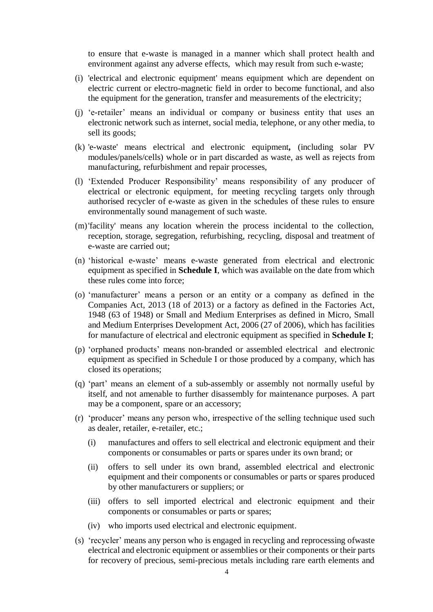to ensure that e-waste is managed in a manner which shall protect health and environment against any adverse effects, which may result from such e-waste;

- (i) 'electrical and electronic equipment' means equipment which are dependent on electric current or electro-magnetic field in order to become functional, and also the equipment for the generation, transfer and measurements of the electricity;
- (j) 'e-retailer' means an individual or company or business entity that uses an electronic network such as internet, social media, telephone, or any other media, to sell its goods;
- (k) 'e-waste' means electrical and electronic equipment*,* (including solar PV modules/panels/cells) whole or in part discarded as waste, as well as rejects from manufacturing, refurbishment and repair processes,
- (l) 'Extended Producer Responsibility' means responsibility of any producer of electrical or electronic equipment, for meeting recycling targets only through authorised recycler of e-waste as given in the schedules of these rules to ensure environmentally sound management of such waste.
- (m)'facility' means any location wherein the process incidental to the collection, reception, storage, segregation, refurbishing, recycling, disposal and treatment of e-waste are carried out;
- (n) 'historical e-waste' means e-waste generated from electrical and electronic equipment as specified in **Schedule I**, which was available on the date from which these rules come into force;
- (o) 'manufacturer' means a person or an entity or a company as defined in the Companies Act, 2013 (18 of 2013) or a factory as defined in the Factories Act, 1948 (63 of 1948) or Small and Medium Enterprises as defined in Micro, Small and Medium Enterprises Development Act, 2006 (27 of 2006), which has facilities for manufacture of electrical and electronic equipment as specified in **Schedule I**;
- (p) 'orphaned products' means non-branded or assembled electrical and electronic equipment as specified in Schedule I or those produced by a company, which has closed its operations;
- (q) 'part' means an element of a sub-assembly or assembly not normally useful by itself, and not amenable to further disassembly for maintenance purposes. A part may be a component, spare or an accessory;
- (r) 'producer' means any person who, irrespective of the selling technique used such as dealer, retailer, e-retailer, etc.;
	- (i) manufactures and offers to sell electrical and electronic equipment and their components or consumables or parts or spares under its own brand; or
	- (ii) offers to sell under its own brand, assembled electrical and electronic equipment and their components or consumables or parts or spares produced by other manufacturers or suppliers; or
	- (iii) offers to sell imported electrical and electronic equipment and their components or consumables or parts or spares;
	- (iv) who imports used electrical and electronic equipment.
- (s) 'recycler' means any person who is engaged in recycling and reprocessing ofwaste electrical and electronic equipment or assemblies or their components or their parts for recovery of precious, semi-precious metals including rare earth elements and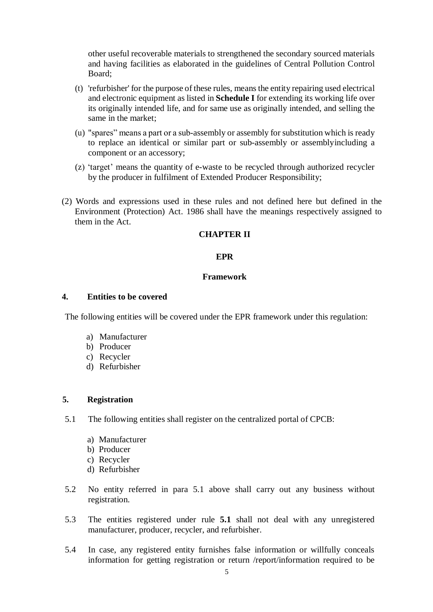other useful recoverable materials to strengthened the secondary sourced materials and having facilities as elaborated in the guidelines of Central Pollution Control Board;

- (t) 'refurbisher' for the purpose of these rules, means the entity repairing used electrical and electronic equipment as listed in **Schedule I** for extending its working life over its originally intended life, and for same use as originally intended, and selling the same in the market;
- (u) "spares" means a part or a sub-assembly or assembly for substitution which is ready to replace an identical or similar part or sub-assembly or assemblyincluding a component or an accessory;
- (z) 'target' means the quantity of e-waste to be recycled through authorized recycler by the producer in fulfilment of Extended Producer Responsibility;
- (2) Words and expressions used in these rules and not defined here but defined in the Environment (Protection) Act. 1986 shall have the meanings respectively assigned to them in the Act.

#### **CHAPTER II**

#### **EPR**

#### **Framework**

#### **4. Entities to be covered**

The following entities will be covered under the EPR framework under this regulation:

- a) Manufacturer
- b) Producer
- c) Recycler
- d) Refurbisher

### **5. Registration**

- 5.1 The following entities shall register on the centralized portal of CPCB:
	- a) Manufacturer
	- b) Producer
	- c) Recycler
	- d) Refurbisher
- 5.2 No entity referred in para 5.1 above shall carry out any business without registration.
- 5.3 The entities registered under rule **5.1** shall not deal with any unregistered manufacturer, producer, recycler, and refurbisher.
- 5.4 In case, any registered entity furnishes false information or willfully conceals information for getting registration or return /report/information required to be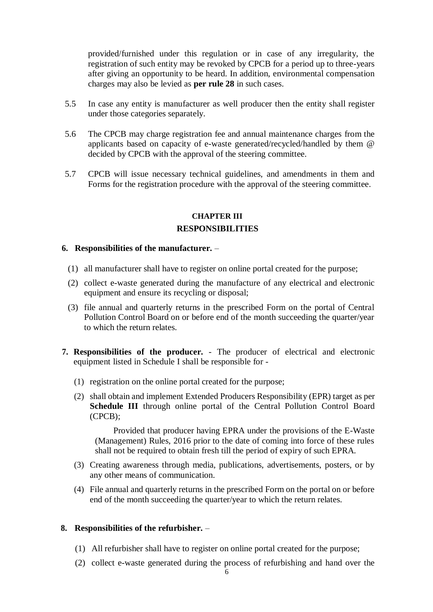provided/furnished under this regulation or in case of any irregularity, the registration of such entity may be revoked by CPCB for a period up to three-years after giving an opportunity to be heard. In addition, environmental compensation charges may also be levied as **per rule 28** in such cases.

- 5.5 In case any entity is manufacturer as well producer then the entity shall register under those categories separately.
- 5.6 The CPCB may charge registration fee and annual maintenance charges from the applicants based on capacity of e-waste generated/recycled/handled by them @ decided by CPCB with the approval of the steering committee.
- 5.7 CPCB will issue necessary technical guidelines, and amendments in them and Forms for the registration procedure with the approval of the steering committee.

#### **CHAPTER III RESPONSIBILITIES**

#### **6. Responsibilities of the manufacturer.** –

- (1) all manufacturer shall have to register on online portal created for the purpose;
- (2) collect e-waste generated during the manufacture of any electrical and electronic equipment and ensure its recycling or disposal;
- (3) file annual and quarterly returns in the prescribed Form on the portal of Central Pollution Control Board on or before end of the month succeeding the quarter/year to which the return relates.
- **7. Responsibilities of the producer.**  The producer of electrical and electronic equipment listed in Schedule I shall be responsible for -
	- (1) registration on the online portal created for the purpose;
	- (2) shall obtain and implement Extended Producers Responsibility (EPR) target as per **Schedule III** through online portal of the Central Pollution Control Board (CPCB);

Provided that producer having EPRA under the provisions of the E-Waste (Management) Rules, 2016 prior to the date of coming into force of these rules shall not be required to obtain fresh till the period of expiry of such EPRA.

- (3) Creating awareness through media, publications, advertisements, posters, or by any other means of communication.
- (4) File annual and quarterly returns in the prescribed Form on the portal on or before end of the month succeeding the quarter/year to which the return relates.

#### **8. Responsibilities of the refurbisher.** –

- (1) All refurbisher shall have to register on online portal created for the purpose;
- (2) collect e-waste generated during the process of refurbishing and hand over the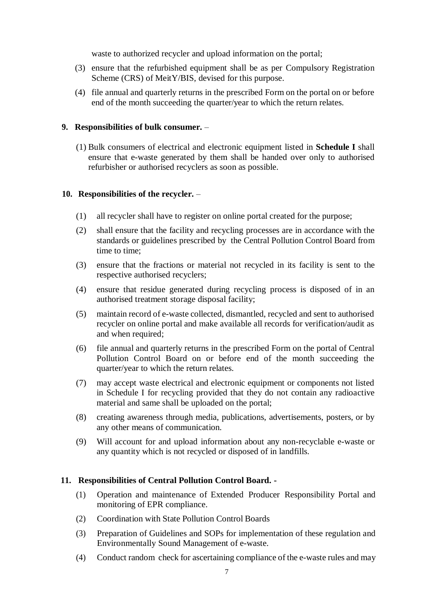waste to authorized recycler and upload information on the portal;

- (3) ensure that the refurbished equipment shall be as per Compulsory Registration Scheme (CRS) of MeitY/BIS, devised for this purpose.
- (4) file annual and quarterly returns in the prescribed Form on the portal on or before end of the month succeeding the quarter/year to which the return relates.

#### **9. Responsibilities of bulk consumer.** –

(1) Bulk consumers of electrical and electronic equipment listed in **Schedule I** shall ensure that e-waste generated by them shall be handed over only to authorised refurbisher or authorised recyclers as soon as possible.

### **10. Responsibilities of the recycler.** –

- (1) all recycler shall have to register on online portal created for the purpose;
- (2) shall ensure that the facility and recycling processes are in accordance with the standards or guidelines prescribed by the Central Pollution Control Board from time to time;
- (3) ensure that the fractions or material not recycled in its facility is sent to the respective authorised recyclers;
- (4) ensure that residue generated during recycling process is disposed of in an authorised treatment storage disposal facility;
- (5) maintain record of e-waste collected, dismantled, recycled and sent to authorised recycler on online portal and make available all records for verification/audit as and when required;
- (6) file annual and quarterly returns in the prescribed Form on the portal of Central Pollution Control Board on or before end of the month succeeding the quarter/year to which the return relates.
- (7) may accept waste electrical and electronic equipment or components not listed in Schedule I for recycling provided that they do not contain any radioactive material and same shall be uploaded on the portal;
- (8) creating awareness through media, publications, advertisements, posters, or by any other means of communication.
- (9) Will account for and upload information about any non-recyclable e-waste or any quantity which is not recycled or disposed of in landfills.

## **11. Responsibilities of Central Pollution Control Board. -**

- (1) Operation and maintenance of Extended Producer Responsibility Portal and monitoring of EPR compliance.
- (2) Coordination with State Pollution Control Boards
- (3) Preparation of Guidelines and SOPs for implementation of these regulation and Environmentally Sound Management of e-waste.
- (4) Conduct random check for ascertaining compliance of the e-waste rules and may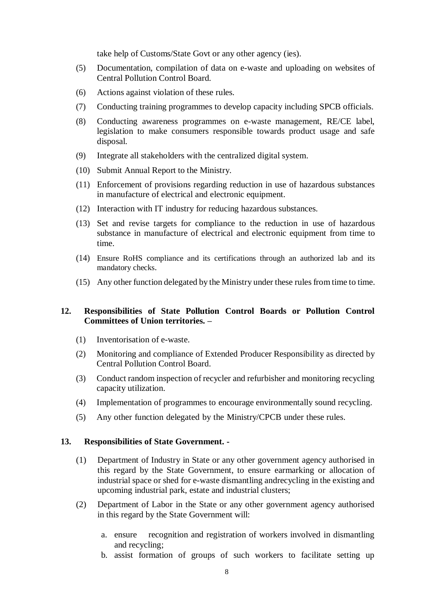take help of Customs/State Govt or any other agency (ies).

- (5) Documentation, compilation of data on e-waste and uploading on websites of Central Pollution Control Board.
- (6) Actions against violation of these rules.
- (7) Conducting training programmes to develop capacity including SPCB officials.
- (8) Conducting awareness programmes on e-waste management, RE/CE label, legislation to make consumers responsible towards product usage and safe disposal.
- (9) Integrate all stakeholders with the centralized digital system.
- (10) Submit Annual Report to the Ministry.
- (11) Enforcement of provisions regarding reduction in use of hazardous substances in manufacture of electrical and electronic equipment.
- (12) Interaction with IT industry for reducing hazardous substances.
- (13) Set and revise targets for compliance to the reduction in use of hazardous substance in manufacture of electrical and electronic equipment from time to time.
- (14) Ensure RoHS compliance and its certifications through an authorized lab and its mandatory checks.
- $(15)$  Any other function delegated by the Ministry under these rules from time to time.

### **12. Responsibilities of State Pollution Control Boards or Pollution Control Committees of Union territories. –**

- (1) Inventorisation of e-waste.
- (2) Monitoring and compliance of Extended Producer Responsibility as directed by Central Pollution Control Board.
- (3) Conduct random inspection of recycler and refurbisher and monitoring recycling capacity utilization.
- (4) Implementation of programmes to encourage environmentally sound recycling.
- (5) Any other function delegated by the Ministry/CPCB under these rules.

#### **13. Responsibilities of State Government. -**

- (1) Department of Industry in State or any other government agency authorised in this regard by the State Government, to ensure earmarking or allocation of industrial space or shed for e-waste dismantling andrecycling in the existing and upcoming industrial park, estate and industrial clusters;
- (2) Department of Labor in the State or any other government agency authorised in this regard by the State Government will:
	- a. ensure recognition and registration of workers involved in dismantling and recycling;
	- b. assist formation of groups of such workers to facilitate setting up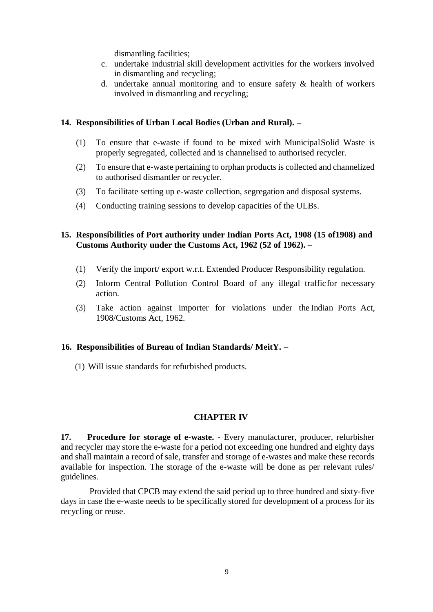dismantling facilities;

- c. undertake industrial skill development activities for the workers involved in dismantling and recycling;
- d. undertake annual monitoring and to ensure safety & health of workers involved in dismantling and recycling;

#### **14. Responsibilities of Urban Local Bodies (Urban and Rural). –**

- (1) To ensure that e-waste if found to be mixed with MunicipalSolid Waste is properly segregated, collected and is channelised to authorised recycler.
- (2) To ensure that e-waste pertaining to orphan products is collected and channelized to authorised dismantler or recycler.
- (3) To facilitate setting up e-waste collection, segregation and disposal systems.
- (4) Conducting training sessions to develop capacities of the ULBs.

### **15. Responsibilities of Port authority under Indian Ports Act, 1908 (15 of1908) and Customs Authority under the Customs Act, 1962 (52 of 1962). –**

- (1) Verify the import/ export w.r.t. Extended Producer Responsibility regulation.
- (2) Inform Central Pollution Control Board of any illegal trafficfor necessary action.
- (3) Take action against importer for violations under the Indian Ports Act, 1908/Customs Act, 1962.

## **16. Responsibilities of Bureau of Indian Standards/ MeitY. –**

(1) Will issue standards for refurbished products.

## **CHAPTER IV**

**17. Procedure for storage of e-waste.** - Every manufacturer, producer, refurbisher and recycler may store the e-waste for a period not exceeding one hundred and eighty days and shall maintain a record of sale, transfer and storage of e-wastes and make these records available for inspection. The storage of the e-waste will be done as per relevant rules/ guidelines.

Provided that CPCB may extend the said period up to three hundred and sixty-five days in case the e-waste needs to be specifically stored for development of a process for its recycling or reuse.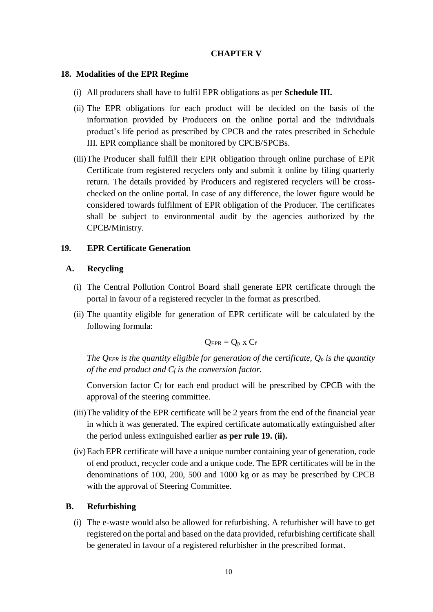### **CHAPTER V**

#### **18. Modalities of the EPR Regime**

- (i) All producers shall have to fulfil EPR obligations as per **Schedule III.**
- (ii) The EPR obligations for each product will be decided on the basis of the information provided by Producers on the online portal and the individuals product's life period as prescribed by CPCB and the rates prescribed in Schedule III. EPR compliance shall be monitored by CPCB/SPCBs.
- (iii)The Producer shall fulfill their EPR obligation through online purchase of EPR Certificate from registered recyclers only and submit it online by filing quarterly return. The details provided by Producers and registered recyclers will be crosschecked on the online portal. In case of any difference, the lower figure would be considered towards fulfilment of EPR obligation of the Producer. The certificates shall be subject to environmental audit by the agencies authorized by the CPCB/Ministry.

### **19. EPR Certificate Generation**

#### **A. Recycling**

- (i) The Central Pollution Control Board shall generate EPR certificate through the portal in favour of a registered recycler in the format as prescribed.
- (ii) The quantity eligible for generation of EPR certificate will be calculated by the following formula:

$$
Q_{EPR} = Q_p \times C_f
$$

*The QEPR is the quantity eligible for generation of the certificate, Q<sup>p</sup> is the quantity of the end product and C<sup>f</sup> is the conversion factor.*

Conversion factor  $C_f$  for each end product will be prescribed by CPCB with the approval of the steering committee.

- (iii)The validity of the EPR certificate will be 2 years from the end of the financial year in which it was generated. The expired certificate automatically extinguished after the period unless extinguished earlier **as per rule 19. (ii).**
- (iv)Each EPR certificate will have a unique number containing year of generation, code of end product, recycler code and a unique code. The EPR certificates will be in the denominations of 100, 200, 500 and 1000 kg or as may be prescribed by CPCB with the approval of Steering Committee.

## **B. Refurbishing**

(i) The e-waste would also be allowed for refurbishing. A refurbisher will have to get registered on the portal and based on the data provided, refurbishing certificate shall be generated in favour of a registered refurbisher in the prescribed format.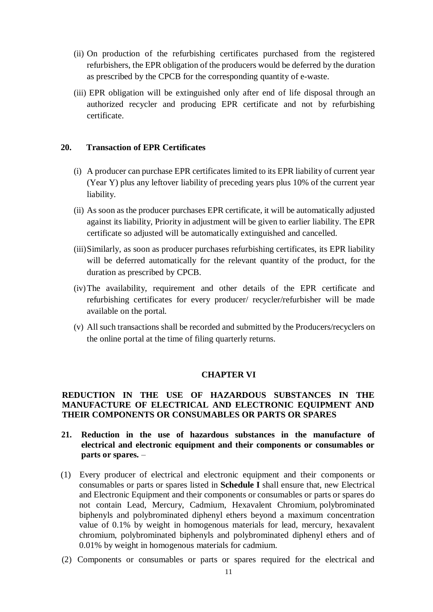- (ii) On production of the refurbishing certificates purchased from the registered refurbishers, the EPR obligation of the producers would be deferred by the duration as prescribed by the CPCB for the corresponding quantity of e-waste.
- (iii) EPR obligation will be extinguished only after end of life disposal through an authorized recycler and producing EPR certificate and not by refurbishing certificate.

### **20. Transaction of EPR Certificates**

- (i) A producer can purchase EPR certificates limited to its EPR liability of current year (Year Y) plus any leftover liability of preceding years plus 10% of the current year liability.
- (ii) As soon as the producer purchases EPR certificate, it will be automatically adjusted against its liability, Priority in adjustment will be given to earlier liability. The EPR certificate so adjusted will be automatically extinguished and cancelled.
- (iii)Similarly, as soon as producer purchases refurbishing certificates, its EPR liability will be deferred automatically for the relevant quantity of the product, for the duration as prescribed by CPCB.
- (iv)The availability, requirement and other details of the EPR certificate and refurbishing certificates for every producer/ recycler/refurbisher will be made available on the portal.
- (v) All such transactions shall be recorded and submitted by the Producers/recyclers on the online portal at the time of filing quarterly returns.

#### **CHAPTER VI**

#### **REDUCTION IN THE USE OF HAZARDOUS SUBSTANCES IN THE MANUFACTURE OF ELECTRICAL AND ELECTRONIC EQUIPMENT AND THEIR COMPONENTS OR CONSUMABLES OR PARTS OR SPARES**

- **21. Reduction in the use of hazardous substances in the manufacture of electrical and electronic equipment and their components or consumables or parts or spares.** –
- (1) Every producer of electrical and electronic equipment and their components or consumables or parts or spares listed in **Schedule I** shall ensure that, new Electrical and Electronic Equipment and their components or consumables or parts or spares do not contain Lead, Mercury, Cadmium, Hexavalent Chromium, polybrominated biphenyls and polybrominated diphenyl ethers beyond a maximum concentration value of 0.1% by weight in homogenous materials for lead, mercury, hexavalent chromium, polybrominated biphenyls and polybrominated diphenyl ethers and of 0.01% by weight in homogenous materials for cadmium.
- (2) Components or consumables or parts or spares required for the electrical and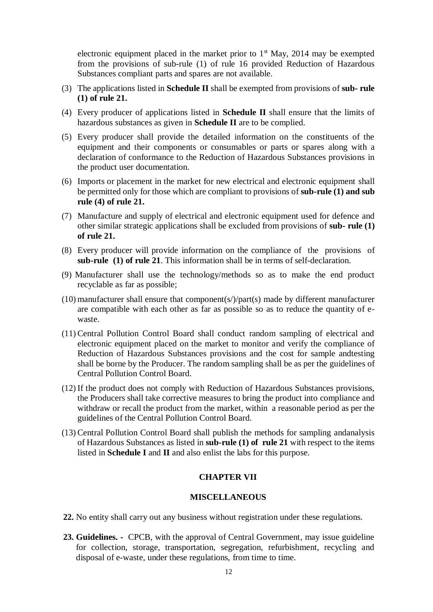electronic equipment placed in the market prior to  $1<sup>st</sup>$  May, 2014 may be exempted from the provisions of sub-rule (1) of rule 16 provided Reduction of Hazardous Substances compliant parts and spares are not available.

- (3) The applications listed in **Schedule II** shall be exempted from provisions of **sub- rule (1) of rule 21.**
- (4) Every producer of applications listed in **Schedule II** shall ensure that the limits of hazardous substances as given in **Schedule II** are to be complied.
- (5) Every producer shall provide the detailed information on the constituents of the equipment and their components or consumables or parts or spares along with a declaration of conformance to the Reduction of Hazardous Substances provisions in the product user documentation.
- (6) Imports or placement in the market for new electrical and electronic equipment shall be permitted only for those which are compliant to provisions of **sub-rule (1) and sub rule (4) of rule 21.**
- (7) Manufacture and supply of electrical and electronic equipment used for defence and other similar strategic applications shall be excluded from provisions of **sub- rule (1) of rule 21.**
- (8) Every producer will provide information on the compliance of the provisions of **sub-rule (1) of rule 21**. This information shall be in terms of self-declaration.
- (9) Manufacturer shall use the technology/methods so as to make the end product recyclable as far as possible;
- (10) manufacturer shall ensure that component(s/ $\frac{1}{2}$ ) made by different manufacturer are compatible with each other as far as possible so as to reduce the quantity of ewaste.
- (11) Central Pollution Control Board shall conduct random sampling of electrical and electronic equipment placed on the market to monitor and verify the compliance of Reduction of Hazardous Substances provisions and the cost for sample andtesting shall be borne by the Producer. The random sampling shall be as per the guidelines of Central Pollution Control Board.
- (12) If the product does not comply with Reduction of Hazardous Substances provisions, the Producers shall take corrective measures to bring the product into compliance and withdraw or recall the product from the market, within a reasonable period as per the guidelines of the Central Pollution Control Board.
- (13) Central Pollution Control Board shall publish the methods for sampling andanalysis of Hazardous Substances as listed in **sub-rule (1) of rule 21** with respect to the items listed in **Schedule I** and **II** and also enlist the labs for this purpose.

#### **CHAPTER VII**

#### **MISCELLANEOUS**

- **22.** No entity shall carry out any business without registration under these regulations.
- **23. Guidelines. -** CPCB, with the approval of Central Government, may issue guideline for collection, storage, transportation, segregation, refurbishment, recycling and disposal of e-waste, under these regulations, from time to time.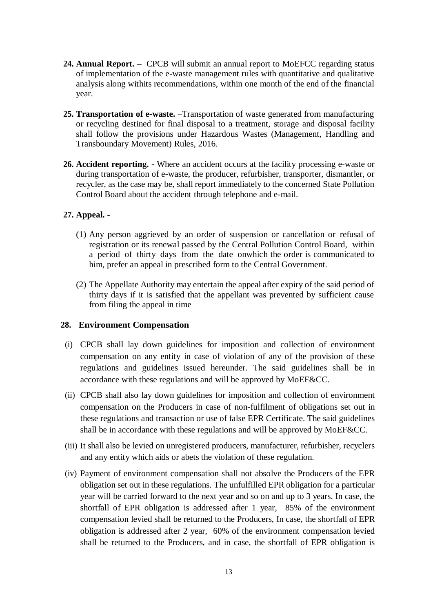- **24. Annual Report.** CPCB will submit an annual report to MoEFCC regarding status of implementation of the e-waste management rules with quantitative and qualitative analysis along withits recommendations, within one month of the end of the financial year.
- **25. Transportation of e-waste.** –Transportation of waste generated from manufacturing or recycling destined for final disposal to a treatment, storage and disposal facility shall follow the provisions under Hazardous Wastes (Management, Handling and Transboundary Movement) Rules, 2016.
- **26. Accident reporting. -** Where an accident occurs at the facility processing e-waste or during transportation of e-waste, the producer, refurbisher, transporter, dismantler, or recycler, as the case may be, shall report immediately to the concerned State Pollution Control Board about the accident through telephone and e-mail.

### **27. Appeal. -**

- (1) Any person aggrieved by an order of suspension or cancellation or refusal of registration or its renewal passed by the Central Pollution Control Board, within a period of thirty days from the date onwhich the order is communicated to him, prefer an appeal in prescribed form to the Central Government.
- (2) The Appellate Authority may entertain the appeal after expiry of the said period of thirty days if it is satisfied that the appellant was prevented by sufficient cause from filing the appeal in time

#### **28. Environment Compensation**

- (i) CPCB shall lay down guidelines for imposition and collection of environment compensation on any entity in case of violation of any of the provision of these regulations and guidelines issued hereunder. The said guidelines shall be in accordance with these regulations and will be approved by MoEF&CC.
- (ii) CPCB shall also lay down guidelines for imposition and collection of environment compensation on the Producers in case of non-fulfilment of obligations set out in these regulations and transaction or use of false EPR Certificate. The said guidelines shall be in accordance with these regulations and will be approved by MoEF&CC.
- (iii) It shall also be levied on unregistered producers, manufacturer, refurbisher, recyclers and any entity which aids or abets the violation of these regulation.
- (iv) Payment of environment compensation shall not absolve the Producers of the EPR obligation set out in these regulations. The unfulfilled EPR obligation for a particular year will be carried forward to the next year and so on and up to 3 years. In case, the shortfall of EPR obligation is addressed after 1 year, 85% of the environment compensation levied shall be returned to the Producers, In case, the shortfall of EPR obligation is addressed after 2 year, 60% of the environment compensation levied shall be returned to the Producers, and in case, the shortfall of EPR obligation is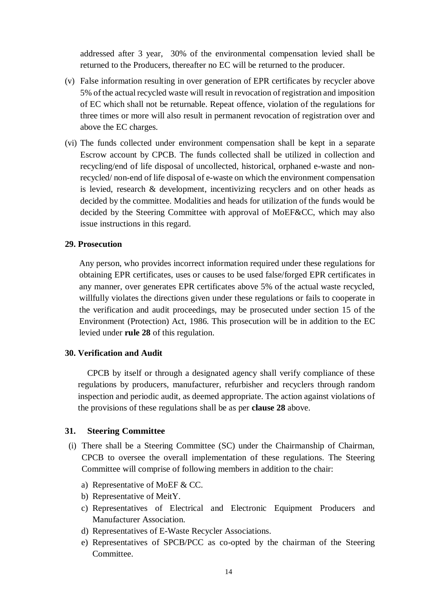addressed after 3 year, 30% of the environmental compensation levied shall be returned to the Producers, thereafter no EC will be returned to the producer.

- (v) False information resulting in over generation of EPR certificates by recycler above 5% of the actual recycled waste will result in revocation of registration and imposition of EC which shall not be returnable. Repeat offence, violation of the regulations for three times or more will also result in permanent revocation of registration over and above the EC charges.
- (vi) The funds collected under environment compensation shall be kept in a separate Escrow account by CPCB. The funds collected shall be utilized in collection and recycling/end of life disposal of uncollected, historical, orphaned e-waste and nonrecycled/ non-end of life disposal of e-waste on which the environment compensation is levied, research & development, incentivizing recyclers and on other heads as decided by the committee. Modalities and heads for utilization of the funds would be decided by the Steering Committee with approval of MoEF&CC, which may also issue instructions in this regard.

#### **29. Prosecution**

Any person, who provides incorrect information required under these regulations for obtaining EPR certificates, uses or causes to be used false/forged EPR certificates in any manner, over generates EPR certificates above 5% of the actual waste recycled, willfully violates the directions given under these regulations or fails to cooperate in the verification and audit proceedings, may be prosecuted under section 15 of the Environment (Protection) Act, 1986. This prosecution will be in addition to the EC levied under **rule 28** of this regulation.

#### **30. Verification and Audit**

CPCB by itself or through a designated agency shall verify compliance of these regulations by producers, manufacturer, refurbisher and recyclers through random inspection and periodic audit, as deemed appropriate. The action against violations of the provisions of these regulations shall be as per **clause 28** above.

#### **31. Steering Committee**

- (i) There shall be a Steering Committee (SC) under the Chairmanship of Chairman, CPCB to oversee the overall implementation of these regulations. The Steering Committee will comprise of following members in addition to the chair:
	- a) Representative of MoEF & CC.
	- b) Representative of MeitY.
	- c) Representatives of Electrical and Electronic Equipment Producers and Manufacturer Association.
	- d) Representatives of E-Waste Recycler Associations.
	- e) Representatives of SPCB/PCC as co-opted by the chairman of the Steering Committee.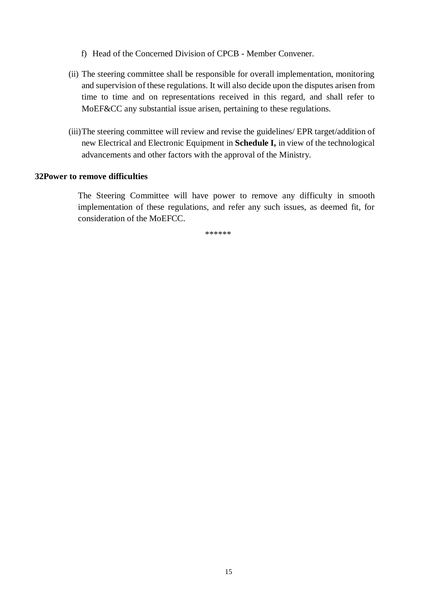- f) Head of the Concerned Division of CPCB Member Convener.
- (ii) The steering committee shall be responsible for overall implementation, monitoring and supervision of these regulations. It will also decide upon the disputes arisen from time to time and on representations received in this regard, and shall refer to MoEF&CC any substantial issue arisen, pertaining to these regulations.
- (iii)The steering committee will review and revise the guidelines/ EPR target/addition of new Electrical and Electronic Equipment in **Schedule I,** in view of the technological advancements and other factors with the approval of the Ministry.

#### **32Power to remove difficulties**

The Steering Committee will have power to remove any difficulty in smooth implementation of these regulations, and refer any such issues, as deemed fit, for consideration of the MoEFCC.

\*\*\*\*\*\*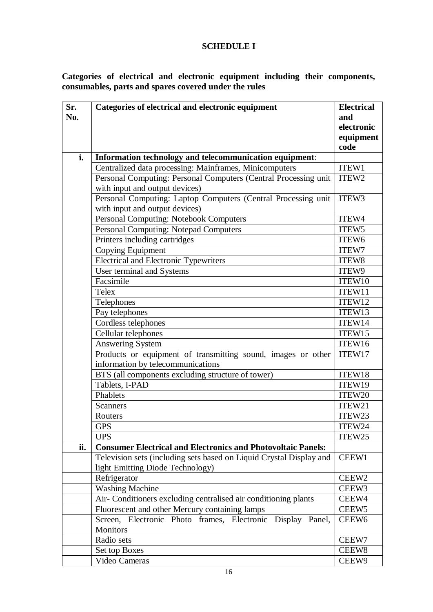# **SCHEDULE I**

## **Categories of electrical and electronic equipment including their components, consumables, parts and spares covered under the rules**

| Sr. | Categories of electrical and electronic equipment<br><b>Electrical</b>        |                   |  |
|-----|-------------------------------------------------------------------------------|-------------------|--|
| No. |                                                                               | and               |  |
|     |                                                                               |                   |  |
|     |                                                                               |                   |  |
|     |                                                                               |                   |  |
| i.  | Information technology and telecommunication equipment:                       |                   |  |
|     | Centralized data processing: Mainframes, Minicomputers                        | ITEW1             |  |
|     | Personal Computing: Personal Computers (Central Processing unit               | ITEW2             |  |
|     | with input and output devices)                                                |                   |  |
|     | Personal Computing: Laptop Computers (Central Processing unit                 | ITEW3             |  |
|     | with input and output devices)                                                |                   |  |
|     | Personal Computing: Notebook Computers                                        | ITEW4             |  |
|     | Personal Computing: Notepad Computers                                         | ITEW <sub>5</sub> |  |
|     | Printers including cartridges                                                 | ITEW <sub>6</sub> |  |
|     | Copying Equipment                                                             | ITEW7             |  |
|     | <b>Electrical and Electronic Typewriters</b>                                  | ITEW8             |  |
|     | User terminal and Systems                                                     | ITEW9             |  |
|     | Facsimile                                                                     | ITEW10            |  |
|     | Telex                                                                         | ITEW11            |  |
|     | Telephones                                                                    |                   |  |
|     | Pay telephones                                                                | ITEW13            |  |
|     | Cordless telephones                                                           | ITEW14            |  |
|     | Cellular telephones                                                           | ITEW15            |  |
|     | <b>Answering System</b>                                                       |                   |  |
|     | Products or equipment of transmitting sound, images or other                  |                   |  |
|     | information by telecommunications                                             |                   |  |
|     | BTS (all components excluding structure of tower)                             | ITEW18            |  |
|     | Tablets, I-PAD                                                                | ITEW19            |  |
|     | Phablets                                                                      | ITEW20            |  |
|     | <b>Scanners</b>                                                               | ITEW21            |  |
|     | Routers                                                                       | ITEW23            |  |
|     | <b>GPS</b>                                                                    | ITEW24            |  |
|     | <b>UPS</b>                                                                    | ITEW25            |  |
| ii. | <b>Consumer Electrical and Electronics and Photovoltaic Panels:</b>           |                   |  |
|     | Television sets (including sets based on Liquid Crystal Display and           | CEEW1             |  |
|     | light Emitting Diode Technology)                                              |                   |  |
|     | Refrigerator                                                                  |                   |  |
|     | <b>Washing Machine</b>                                                        |                   |  |
|     | Air- Conditioners excluding centralised air conditioning plants               |                   |  |
|     | Fluorescent and other Mercury containing lamps                                |                   |  |
|     | Screen, Electronic Photo frames, Electronic Display Panel,<br><b>Monitors</b> | CEEW <sub>6</sub> |  |
|     | Radio sets                                                                    | CEEW7             |  |
|     | Set top Boxes                                                                 | CEEW8             |  |
|     | Video Cameras                                                                 | CEEW9             |  |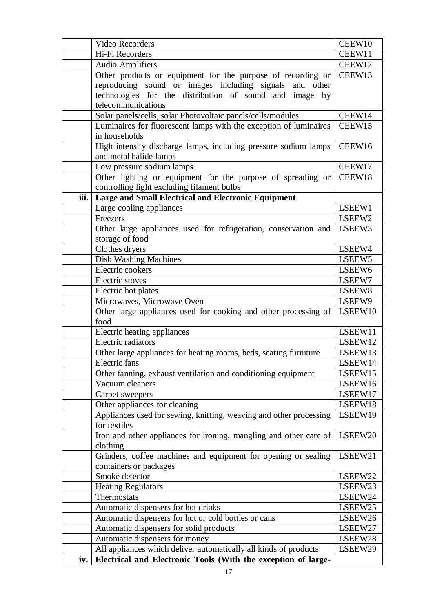|      | Video Recorders                                                    |                    |
|------|--------------------------------------------------------------------|--------------------|
|      | Hi-Fi Recorders                                                    |                    |
|      | <b>Audio Amplifiers</b>                                            |                    |
|      | Other products or equipment for the purpose of recording or        | CEEW13             |
|      | reproducing sound or images including signals and other            |                    |
|      | technologies for the distribution of sound and image by            |                    |
|      | telecommunications                                                 |                    |
|      | Solar panels/cells, solar Photovoltaic panels/cells/modules.       |                    |
|      | Luminaires for fluorescent lamps with the exception of luminaires  | CEEW15             |
|      | in households                                                      |                    |
|      | High intensity discharge lamps, including pressure sodium lamps    | CEEW16             |
|      | and metal halide lamps                                             |                    |
|      | Low pressure sodium lamps                                          | CEEW17             |
|      | Other lighting or equipment for the purpose of spreading or        | CEEW18             |
|      | controlling light excluding filament bulbs                         |                    |
| iii. | <b>Large and Small Electrical and Electronic Equipment</b>         |                    |
|      | Large cooling appliances                                           | LSEEW1             |
|      | Freezers                                                           | LSEEW <sub>2</sub> |
|      | Other large appliances used for refrigeration, conservation and    | LSEEW3             |
|      | storage of food                                                    |                    |
|      | Clothes dryers                                                     | LSEEW4             |
|      | <b>Dish Washing Machines</b>                                       | LSEEW <sub>5</sub> |
|      | Electric cookers                                                   | LSEEW6             |
|      | Electric stoves                                                    | LSEEW7             |
|      | Electric hot plates                                                | LSEEW8             |
|      | Microwaves, Microwave Oven                                         | LSEEW9             |
|      | Other large appliances used for cooking and other processing of    |                    |
|      | food                                                               |                    |
|      | Electric heating appliances                                        | LSEEW11            |
|      | Electric radiators                                                 | LSEEW12            |
|      | Other large appliances for heating rooms, beds, seating furniture  |                    |
|      | Electric fans                                                      |                    |
|      | Other fanning, exhaust ventilation and conditioning equipment      | LSEEW15            |
|      | Vacuum cleaners                                                    | LSEEW16            |
|      | Carpet sweepers                                                    | LSEEW17            |
|      | Other appliances for cleaning                                      | LSEEW18            |
|      | Appliances used for sewing, knitting, weaving and other processing | LSEEW19            |
|      | for textiles                                                       |                    |
|      | Iron and other appliances for ironing, mangling and other care of  | LSEEW20            |
|      | clothing                                                           |                    |
|      | Grinders, coffee machines and equipment for opening or sealing     |                    |
|      | containers or packages                                             |                    |
|      | Smoke detector                                                     | LSEEW22            |
|      | <b>Heating Regulators</b>                                          | LSEEW23            |
|      | Thermostats                                                        | LSEEW24            |
|      | Automatic dispensers for hot drinks                                | LSEEW25            |
|      | Automatic dispensers for hot or cold bottles or cans               | LSEEW26<br>LSEEW27 |
|      | Automatic dispensers for solid products                            |                    |
|      | Automatic dispensers for money                                     |                    |
|      | All appliances which deliver automatically all kinds of products   | LSEEW29            |
| iv.  | Electrical and Electronic Tools (With the exception of large-      |                    |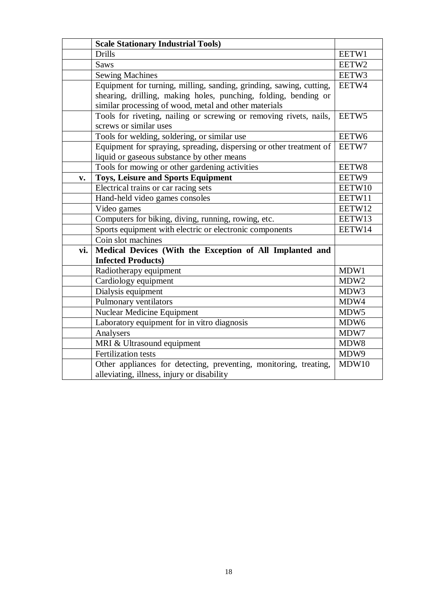|                | <b>Scale Stationary Industrial Tools)</b>                                                    |                  |  |
|----------------|----------------------------------------------------------------------------------------------|------------------|--|
|                | <b>Drills</b>                                                                                |                  |  |
|                | <b>Saws</b>                                                                                  |                  |  |
|                | <b>Sewing Machines</b>                                                                       |                  |  |
|                | Equipment for turning, milling, sanding, grinding, sawing, cutting,                          |                  |  |
|                | shearing, drilling, making holes, punching, folding, bending or                              |                  |  |
|                | similar processing of wood, metal and other materials                                        |                  |  |
|                | Tools for riveting, nailing or screwing or removing rivets, nails,<br>screws or similar uses | EETW5            |  |
|                | Tools for welding, soldering, or similar use                                                 | EETW6            |  |
|                | Equipment for spraying, spreading, dispersing or other treatment of                          | EETW7            |  |
|                | liquid or gaseous substance by other means                                                   |                  |  |
|                | Tools for mowing or other gardening activities                                               | EETW8            |  |
| $\mathbf{v}$ . | <b>Toys, Leisure and Sports Equipment</b>                                                    | EETW9            |  |
|                | Electrical trains or car racing sets                                                         | EETW10           |  |
|                | Hand-held video games consoles                                                               | EETW11           |  |
|                | Video games                                                                                  | EETW12           |  |
|                | Computers for biking, diving, running, rowing, etc.                                          | EETW13           |  |
|                | Sports equipment with electric or electronic components                                      | EETW14           |  |
|                | Coin slot machines                                                                           |                  |  |
| vi.            | Medical Devices (With the Exception of All Implanted and                                     |                  |  |
|                | <b>Infected Products)</b>                                                                    |                  |  |
|                | Radiotherapy equipment                                                                       | MDW1             |  |
|                | Cardiology equipment                                                                         | MDW <sub>2</sub> |  |
|                | Dialysis equipment                                                                           | MDW3             |  |
|                | Pulmonary ventilators                                                                        | MDW4             |  |
|                | <b>Nuclear Medicine Equipment</b>                                                            | MDW5             |  |
|                | Laboratory equipment for in vitro diagnosis                                                  | MDW <sub>6</sub> |  |
|                | Analysers                                                                                    | MDW7             |  |
|                | MRI & Ultrasound equipment                                                                   | MDW8             |  |
|                | <b>Fertilization tests</b>                                                                   | MDW9             |  |
|                | Other appliances for detecting, preventing, monitoring, treating,                            | MDW10            |  |
|                | alleviating, illness, injury or disability                                                   |                  |  |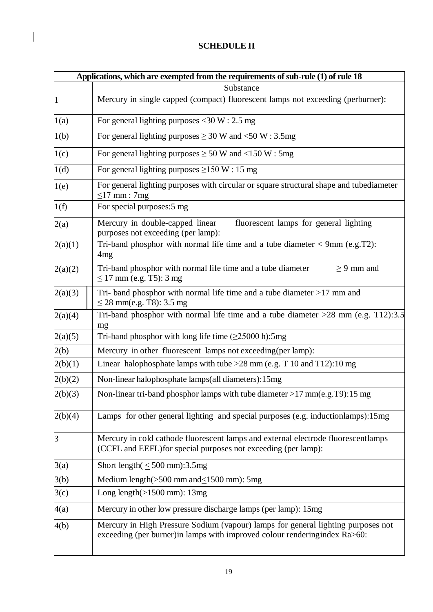# **SCHEDULE II**

 $\begin{array}{c} \hline \end{array}$ 

|         | Applications, which are exempted from the requirements of sub-rule (1) of rule 18                                                                               |  |
|---------|-----------------------------------------------------------------------------------------------------------------------------------------------------------------|--|
|         | Substance                                                                                                                                                       |  |
| 1       | Mercury in single capped (compact) fluorescent lamps not exceeding (perburner):                                                                                 |  |
| 1(a)    | For general lighting purposes <30 W : 2.5 mg                                                                                                                    |  |
| 1(b)    | For general lighting purposes $\geq$ 30 W and <50 W : 3.5mg                                                                                                     |  |
| 1(c)    | For general lighting purposes $\geq$ 50 W and <150 W : 5mg                                                                                                      |  |
| 1(d)    | For general lighting purposes $\geq$ 150 W : 15 mg                                                                                                              |  |
| 1(e)    | For general lighting purposes with circular or square structural shape and tubediameter<br>$\leq$ 17 mm : 7mg                                                   |  |
| 1(f)    | For special purposes: 5 mg                                                                                                                                      |  |
| 2(a)    | Mercury in double-capped linear<br>fluorescent lamps for general lighting<br>purposes not exceeding (per lamp):                                                 |  |
| 2(a)(1) | Tri-band phosphor with normal life time and a tube diameter $<$ 9mm (e.g.T2):<br>4mg                                                                            |  |
| 2(a)(2) | Tri-band phosphor with normal life time and a tube diameter<br>$\geq$ 9 mm and<br>$\leq$ 17 mm (e.g. T5): 3 mg                                                  |  |
| 2(a)(3) | Tri- band phosphor with normal life time and a tube diameter $>17$ mm and<br>$\leq$ 28 mm(e.g. T8): 3.5 mg                                                      |  |
| 2(a)(4) | Tri-band phosphor with normal life time and a tube diameter $>28$ mm (e.g. T12):3.5<br>mg                                                                       |  |
| 2(a)(5) | Tri-band phosphor with long life time $(\geq 25000 \text{ h})$ :5mg                                                                                             |  |
| 2(b)    | Mercury in other fluorescent lamps not exceeding (per lamp):                                                                                                    |  |
| 2(b)(1) | Linear halophosphate lamps with tube $>28$ mm (e.g. T 10 and T12):10 mg                                                                                         |  |
| 2(b)(2) | Non-linear halophosphate lamps(all diameters):15mg                                                                                                              |  |
| 2(b)(3) | Non-linear tri-band phosphor lamps with tube diameter >17 mm(e.g.T9):15 mg                                                                                      |  |
| 2(b)(4) | Lamps for other general lighting and special purposes (e.g. induction lamps): 15mg                                                                              |  |
| 3       | Mercury in cold cathode fluorescent lamps and external electrode fluorescentlamps<br>(CCFL and EEFL) for special purposes not exceeding (per lamp):             |  |
| 3(a)    | Short length( $\leq 500$ mm):3.5mg                                                                                                                              |  |
| 3(b)    | Medium length $($ >500 mm and $\leq$ 1500 mm): 5mg                                                                                                              |  |
| 3(c)    | Long length $(>1500$ mm): 13mg                                                                                                                                  |  |
| 4(a)    | Mercury in other low pressure discharge lamps (per lamp): 15mg                                                                                                  |  |
| 4(b)    | Mercury in High Pressure Sodium (vapour) lamps for general lighting purposes not<br>exceeding (per burner) in lamps with improved colour rendering index Ra>60: |  |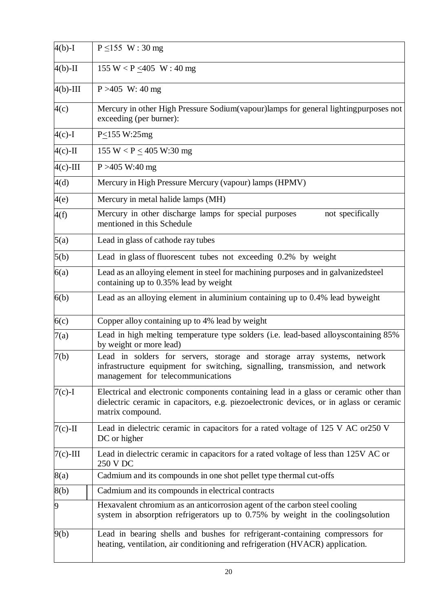| $4(b)-I$    | $P \le 155$ W: 30 mg                                                                                                                                                                                 |  |
|-------------|------------------------------------------------------------------------------------------------------------------------------------------------------------------------------------------------------|--|
| $4(b)$ -II  | 155 W < P $\leq$ 405 W : 40 mg                                                                                                                                                                       |  |
| $4(b)$ -III | $P > 405$ W: 40 mg                                                                                                                                                                                   |  |
| 4(c)        | Mercury in other High Pressure Sodium (vapour) lamps for general lighting purposes not<br>exceeding (per burner):                                                                                    |  |
| $4(c)$ -I   | $P \le 155$ W:25mg                                                                                                                                                                                   |  |
| $4(c)$ -II  | 155 W < $P \le 405$ W:30 mg                                                                                                                                                                          |  |
| $4(c)$ -III | $P > 405$ W:40 mg                                                                                                                                                                                    |  |
| 4(d)        | Mercury in High Pressure Mercury (vapour) lamps (HPMV)                                                                                                                                               |  |
| 4(e)        | Mercury in metal halide lamps (MH)                                                                                                                                                                   |  |
| 4(f)        | Mercury in other discharge lamps for special purposes<br>not specifically<br>mentioned in this Schedule                                                                                              |  |
| 5(a)        | Lead in glass of cathode ray tubes                                                                                                                                                                   |  |
| 5(b)        | Lead in glass of fluorescent tubes not exceeding 0.2% by weight                                                                                                                                      |  |
| 6(a)        | Lead as an alloying element in steel for machining purposes and in galvanized steel<br>containing up to 0.35% lead by weight                                                                         |  |
| 6(b)        | Lead as an alloying element in aluminium containing up to 0.4% lead byweight                                                                                                                         |  |
| 6(c)        | Copper alloy containing up to 4% lead by weight                                                                                                                                                      |  |
| 7(a)        | Lead in high melting temperature type solders (i.e. lead-based alloys containing 85%<br>by weight or more lead)                                                                                      |  |
| 7(b)        | Lead in solders for servers, storage and storage array systems, network<br>infrastructure equipment for switching, signalling, transmission, and network<br>management for telecommunications        |  |
| $7(c)-1$    | Electrical and electronic components containing lead in a glass or ceramic other than<br>dielectric ceramic in capacitors, e.g. piezoelectronic devices, or in aglass or ceramic<br>matrix compound. |  |
| $7(c)$ -II  | Lead in dielectric ceramic in capacitors for a rated voltage of 125 V AC or250 V<br>DC or higher                                                                                                     |  |
| $7(c)$ -III | Lead in dielectric ceramic in capacitors for a rated voltage of less than 125V AC or<br>250 V DC                                                                                                     |  |
| 8(a)        | Cadmium and its compounds in one shot pellet type thermal cut-offs                                                                                                                                   |  |
| 8(b)        | Cadmium and its compounds in electrical contracts                                                                                                                                                    |  |
| 9           | Hexavalent chromium as an anticorrosion agent of the carbon steel cooling<br>system in absorption refrigerators up to 0.75% by weight in the coolingsolution                                         |  |
| 9(b)        | Lead in bearing shells and bushes for refrigerant-containing compressors for<br>heating, ventilation, air conditioning and refrigeration (HVACR) application.                                        |  |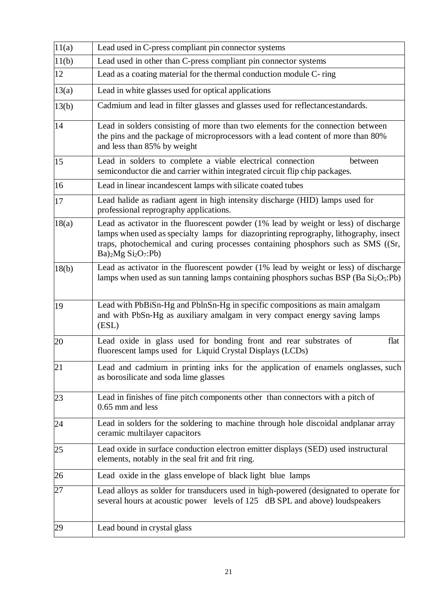| 11(a) | Lead used in C-press compliant pin connector systems                                                                                                                                                                                                                                                   |  |
|-------|--------------------------------------------------------------------------------------------------------------------------------------------------------------------------------------------------------------------------------------------------------------------------------------------------------|--|
| 11(b) | Lead used in other than C-press compliant pin connector systems                                                                                                                                                                                                                                        |  |
| 12    | Lead as a coating material for the thermal conduction module C-ring                                                                                                                                                                                                                                    |  |
| 13(a) | Lead in white glasses used for optical applications                                                                                                                                                                                                                                                    |  |
| 13(b) | Cadmium and lead in filter glasses and glasses used for reflectancestandards.                                                                                                                                                                                                                          |  |
| 14    | Lead in solders consisting of more than two elements for the connection between<br>the pins and the package of microprocessors with a lead content of more than 80%<br>and less than 85% by weight                                                                                                     |  |
| 15    | Lead in solders to complete a viable electrical connection<br>between<br>semiconductor die and carrier within integrated circuit flip chip packages.                                                                                                                                                   |  |
| 16    | Lead in linear incandescent lamps with silicate coated tubes                                                                                                                                                                                                                                           |  |
| 17    | Lead halide as radiant agent in high intensity discharge (HID) lamps used for<br>professional reprography applications.                                                                                                                                                                                |  |
| 18(a) | Lead as activator in the fluorescent powder (1% lead by weight or less) of discharge<br>lamps when used as specialty lamps for diazoprinting reprography, lithography, insect<br>traps, photochemical and curing processes containing phosphors such as SMS ((Sr,<br>$Ba)$ <sub>2</sub> Mg $Si2O7:Pb)$ |  |
| 18(b) | Lead as activator in the fluorescent powder (1% lead by weight or less) of discharge<br>lamps when used as sun tanning lamps containing phosphors such as BSP $(Ba Si2O5: Pb)$                                                                                                                         |  |
| 19    | Lead with PbBiSn-Hg and PblnSn-Hg in specific compositions as main amalgam<br>and with PbSn-Hg as auxiliary amalgam in very compact energy saving lamps<br>(ESL)                                                                                                                                       |  |
| 20    | Lead oxide in glass used for bonding front and rear substrates of<br>flat<br>fluorescent lamps used for Liquid Crystal Displays (LCDs)                                                                                                                                                                 |  |
| 21    | Lead and cadmium in printing inks for the application of enamels onglasses, such<br>as borosilicate and soda lime glasses                                                                                                                                                                              |  |
| 23    | Lead in finishes of fine pitch components other than connectors with a pitch of<br>0.65 mm and less                                                                                                                                                                                                    |  |
| 24    | Lead in solders for the soldering to machine through hole discoidal and planar array<br>ceramic multilayer capacitors                                                                                                                                                                                  |  |
| 25    | Lead oxide in surface conduction electron emitter displays (SED) used instructural<br>elements, notably in the seal frit and frit ring.                                                                                                                                                                |  |
| 26    | Lead oxide in the glass envelope of black light blue lamps                                                                                                                                                                                                                                             |  |
| 27    | Lead alloys as solder for transducers used in high-powered (designated to operate for<br>several hours at acoustic power levels of 125 dB SPL and above) loudspeakers                                                                                                                                  |  |
| 29    | Lead bound in crystal glass                                                                                                                                                                                                                                                                            |  |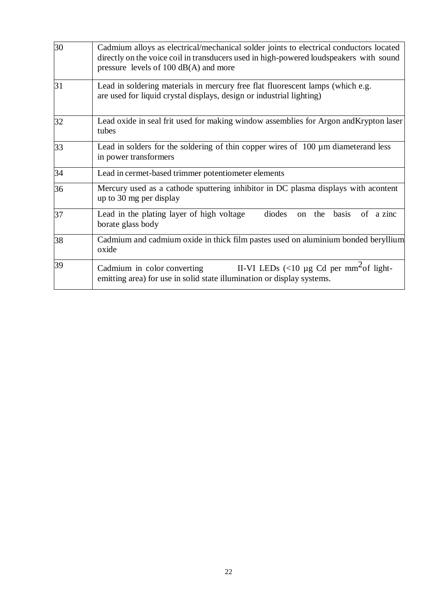| 30 | Cadmium alloys as electrical/mechanical solder joints to electrical conductors located<br>directly on the voice coil in transducers used in high-powered loudspeakers with sound<br>pressure levels of $100 \text{ dB}(A)$ and more |  |
|----|-------------------------------------------------------------------------------------------------------------------------------------------------------------------------------------------------------------------------------------|--|
| 31 | Lead in soldering materials in mercury free flat fluorescent lamps (which e.g.<br>are used for liquid crystal displays, design or industrial lighting)                                                                              |  |
| 32 | Lead oxide in seal frit used for making window assemblies for Argon and Krypton laser<br>tubes                                                                                                                                      |  |
| 33 | Lead in solders for the soldering of thin copper wires of 100 µm diameterand less<br>in power transformers                                                                                                                          |  |
| 34 | Lead in cermet-based trimmer potentiometer elements                                                                                                                                                                                 |  |
| 36 | Mercury used as a cathode sputtering inhibitor in DC plasma displays with acontent<br>up to 30 mg per display                                                                                                                       |  |
| 37 | diodes<br>Lead in the plating layer of high voltage<br>the<br>basis<br>of a zinc<br>on<br>borate glass body                                                                                                                         |  |
| 38 | Cadmium and cadmium oxide in thick film pastes used on aluminium bonded beryllium<br>oxide                                                                                                                                          |  |
| 39 | II-VI LEDs $\langle$ <10 µg Cd per mm <sup>2</sup> of light-<br>Cadmium in color converting<br>emitting area) for use in solid state illumination or display systems.                                                               |  |